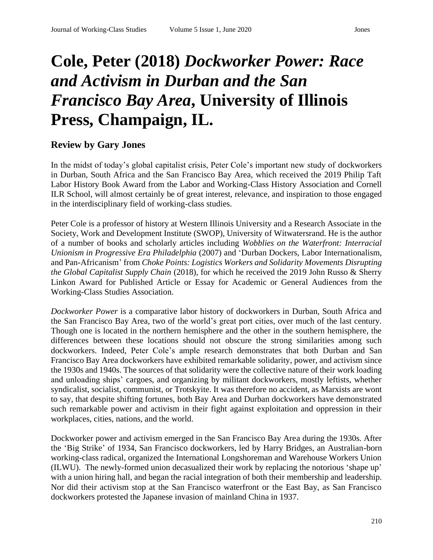## **Cole, Peter (2018)** *Dockworker Power: Race and Activism in Durban and the San Francisco Bay Area***, University of Illinois Press, Champaign, IL.**

## **Review by Gary Jones**

In the midst of today's global capitalist crisis, Peter Cole's important new study of dockworkers in Durban, South Africa and the San Francisco Bay Area, which received the 2019 Philip Taft Labor History Book Award from the Labor and Working-Class History Association and Cornell ILR School, will almost certainly be of great interest, relevance, and inspiration to those engaged in the interdisciplinary field of working-class studies.

Peter Cole is a professor of history at Western Illinois University and a Research Associate in the Society, Work and Development Institute (SWOP), University of Witwatersrand. He is the author of a number of books and scholarly articles including *Wobblies on the Waterfront: Interracial Unionism in Progressive Era Philadelphia* (2007) and 'Durban Dockers, Labor Internationalism, and Pan-Africanism' from *Choke Points: Logistics Workers and Solidarity Movements Disrupting the Global Capitalist Supply Chain* (2018), for which he received the 2019 John Russo & Sherry Linkon Award for Published Article or Essay for Academic or General Audiences from the Working-Class Studies Association.

*Dockworker Power* is a comparative labor history of dockworkers in Durban, South Africa and the San Francisco Bay Area, two of the world's great port cities, over much of the last century. Though one is located in the northern hemisphere and the other in the southern hemisphere, the differences between these locations should not obscure the strong similarities among such dockworkers. Indeed, Peter Cole's ample research demonstrates that both Durban and San Francisco Bay Area dockworkers have exhibited remarkable solidarity, power, and activism since the 1930s and 1940s. The sources of that solidarity were the collective nature of their work loading and unloading ships' cargoes, and organizing by militant dockworkers, mostly leftists, whether syndicalist, socialist, communist, or Trotskyite. It was therefore no accident, as Marxists are wont to say, that despite shifting fortunes, both Bay Area and Durban dockworkers have demonstrated such remarkable power and activism in their fight against exploitation and oppression in their workplaces, cities, nations, and the world.

Dockworker power and activism emerged in the San Francisco Bay Area during the 1930s. After the 'Big Strike' of 1934, San Francisco dockworkers, led by Harry Bridges, an Australian-born working-class radical, organized the International Longshoreman and Warehouse Workers Union (ILWU). The newly-formed union decasualized their work by replacing the notorious 'shape up' with a union hiring hall, and began the racial integration of both their membership and leadership. Nor did their activism stop at the San Francisco waterfront or the East Bay, as San Francisco dockworkers protested the Japanese invasion of mainland China in 1937.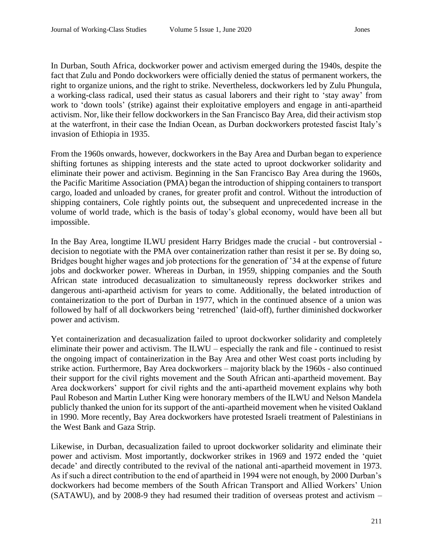In Durban, South Africa, dockworker power and activism emerged during the 1940s, despite the fact that Zulu and Pondo dockworkers were officially denied the status of permanent workers, the right to organize unions, and the right to strike. Nevertheless, dockworkers led by Zulu Phungula, a working-class radical, used their status as casual laborers and their right to 'stay away' from work to 'down tools' (strike) against their exploitative employers and engage in anti-apartheid activism. Nor, like their fellow dockworkers in the San Francisco Bay Area, did their activism stop at the waterfront, in their case the Indian Ocean, as Durban dockworkers protested fascist Italy's invasion of Ethiopia in 1935.

From the 1960s onwards, however, dockworkers in the Bay Area and Durban began to experience shifting fortunes as shipping interests and the state acted to uproot dockworker solidarity and eliminate their power and activism. Beginning in the San Francisco Bay Area during the 1960s, the Pacific Maritime Association (PMA) began the introduction of shipping containers to transport cargo, loaded and unloaded by cranes, for greater profit and control. Without the introduction of shipping containers, Cole rightly points out, the subsequent and unprecedented increase in the volume of world trade, which is the basis of today's global economy, would have been all but impossible.

In the Bay Area, longtime ILWU president Harry Bridges made the crucial - but controversial decision to negotiate with the PMA over containerization rather than resist it per se. By doing so, Bridges bought higher wages and job protections for the generation of '34 at the expense of future jobs and dockworker power. Whereas in Durban, in 1959, shipping companies and the South African state introduced decasualization to simultaneously repress dockworker strikes and dangerous anti-apartheid activism for years to come. Additionally, the belated introduction of containerization to the port of Durban in 1977, which in the continued absence of a union was followed by half of all dockworkers being 'retrenched' (laid-off), further diminished dockworker power and activism.

Yet containerization and decasualization failed to uproot dockworker solidarity and completely eliminate their power and activism. The ILWU – especially the rank and file - continued to resist the ongoing impact of containerization in the Bay Area and other West coast ports including by strike action. Furthermore, Bay Area dockworkers – majority black by the 1960s - also continued their support for the civil rights movement and the South African anti-apartheid movement. Bay Area dockworkers' support for civil rights and the anti-apartheid movement explains why both Paul Robeson and Martin Luther King were honorary members of the ILWU and Nelson Mandela publicly thanked the union for its support of the anti-apartheid movement when he visited Oakland in 1990. More recently, Bay Area dockworkers have protested Israeli treatment of Palestinians in the West Bank and Gaza Strip.

Likewise, in Durban, decasualization failed to uproot dockworker solidarity and eliminate their power and activism. Most importantly, dockworker strikes in 1969 and 1972 ended the 'quiet decade' and directly contributed to the revival of the national anti-apartheid movement in 1973. As if such a direct contribution to the end of apartheid in 1994 were not enough, by 2000 Durban's dockworkers had become members of the South African Transport and Allied Workers' Union (SATAWU), and by 2008-9 they had resumed their tradition of overseas protest and activism –